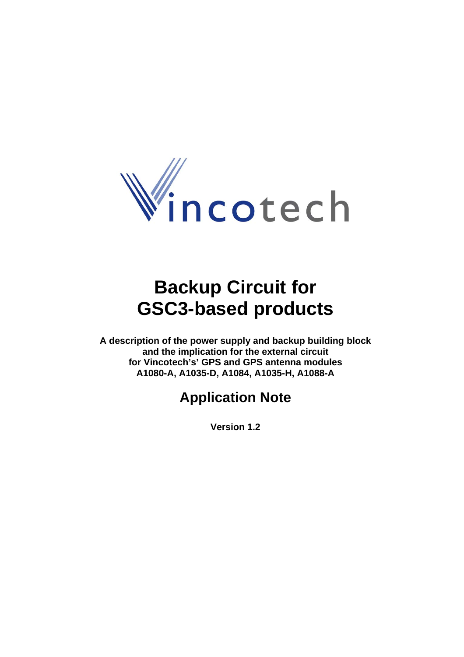

# **Backup Circuit for GSC3-based products**

**A description of the power supply and backup building block and the implication for the external circuit for Vincotech's' GPS and GPS antenna modules A1080-A, A1035-D, A1084, A1035-H, A1088-A** 

## **Application Note**

**Version 1.2**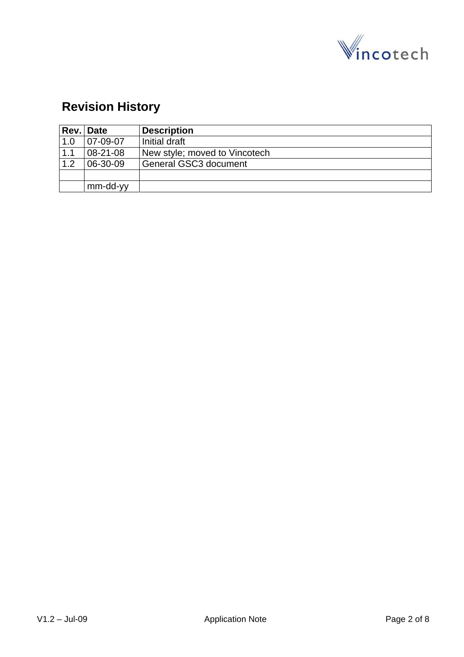

## **Revision History**

|     | Rev. Date      | <b>Description</b>            |
|-----|----------------|-------------------------------|
| 1.0 | 07-09-07       | Initial draft                 |
| 1.1 | $08 - 21 - 08$ | New style; moved to Vincotech |
| 1.2 | 06-30-09       | General GSC3 document         |
|     |                |                               |
|     | mm-dd-yy       |                               |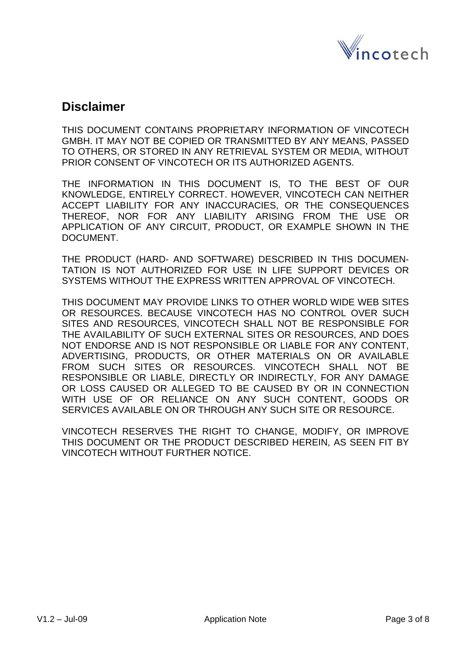

### **Disclaimer**

THIS DOCUMENT CONTAINS PROPRIETARY INFORMATION OF VINCOTECH GMBH. IT MAY NOT BE COPIED OR TRANSMITTED BY ANY MEANS, PASSED TO OTHERS, OR STORED IN ANY RETRIEVAL SYSTEM OR MEDIA, WITHOUT PRIOR CONSENT OF VINCOTECH OR ITS AUTHORIZED AGENTS.

THE INFORMATION IN THIS DOCUMENT IS, TO THE BEST OF OUR KNOWLEDGE, ENTIRELY CORRECT. HOWEVER, VINCOTECH CAN NEITHER ACCEPT LIABILITY FOR ANY INACCURACIES, OR THE CONSEQUENCES THEREOF, NOR FOR ANY LIABILITY ARISING FROM THE USE OR APPLICATION OF ANY CIRCUIT, PRODUCT, OR EXAMPLE SHOWN IN THE DOCUMENT.

THE PRODUCT (HARD- AND SOFTWARE) DESCRIBED IN THIS DOCUMEN-TATION IS NOT AUTHORIZED FOR USE IN LIFE SUPPORT DEVICES OR SYSTEMS WITHOUT THE EXPRESS WRITTEN APPROVAL OF VINCOTECH.

THIS DOCUMENT MAY PROVIDE LINKS TO OTHER WORLD WIDE WEB SITES OR RESOURCES. BECAUSE VINCOTECH HAS NO CONTROL OVER SUCH SITES AND RESOURCES, VINCOTECH SHALL NOT BE RESPONSIBLE FOR THE AVAILABILITY OF SUCH EXTERNAL SITES OR RESOURCES, AND DOES NOT ENDORSE AND IS NOT RESPONSIBLE OR LIABLE FOR ANY CONTENT, ADVERTISING, PRODUCTS, OR OTHER MATERIALS ON OR AVAILABLE FROM SUCH SITES OR RESOURCES. VINCOTECH SHALL NOT BE RESPONSIBLE OR LIABLE, DIRECTLY OR INDIRECTLY, FOR ANY DAMAGE OR LOSS CAUSED OR ALLEGED TO BE CAUSED BY OR IN CONNECTION WITH USE OF OR RELIANCE ON ANY SUCH CONTENT, GOODS OR SERVICES AVAILABLE ON OR THROUGH ANY SUCH SITE OR RESOURCE.

VINCOTECH RESERVES THE RIGHT TO CHANGE, MODIFY, OR IMPROVE THIS DOCUMENT OR THE PRODUCT DESCRIBED HEREIN, AS SEEN FIT BY VINCOTECH WITHOUT FURTHER NOTICE.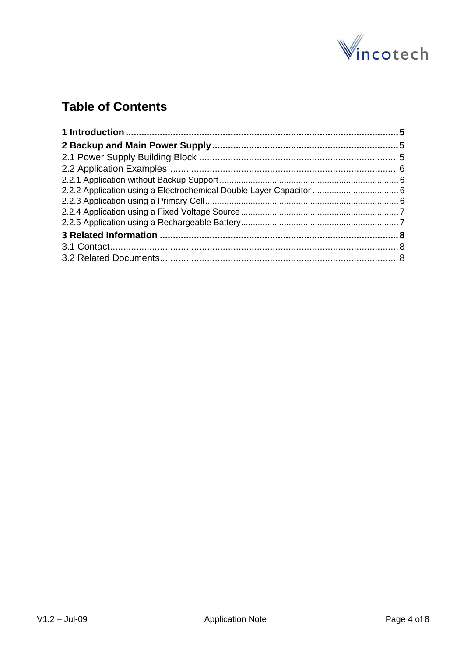

## **Table of Contents**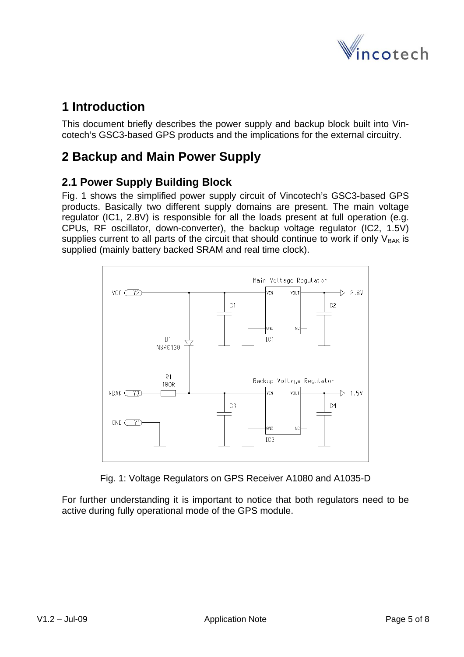

## <span id="page-4-0"></span>**1 Introduction**

This document briefly describes the power supply and backup block built into Vincotech's GSC3-based GPS products and the implications for the external circuitry.

## **2 Backup and Main Power Supply**

#### **2.1 Power Supply Building Block**

Fig. 1 shows the simplified power supply circuit of Vincotech's GSC3-based GPS products. Basically two different supply domains are present. The main voltage regulator (IC1, 2.8V) is responsible for all the loads present at full operation (e.g. CPUs, RF oscillator, down-converter), the backup voltage regulator (IC2, 1.5V) supplies current to all parts of the circuit that should continue to work if only  $V_{BAK}$  is supplied (mainly battery backed SRAM and real time clock).



Fig. 1: Voltage Regulators on GPS Receiver A1080 and A1035-D

For further understanding it is important to notice that both regulators need to be active during fully operational mode of the GPS module.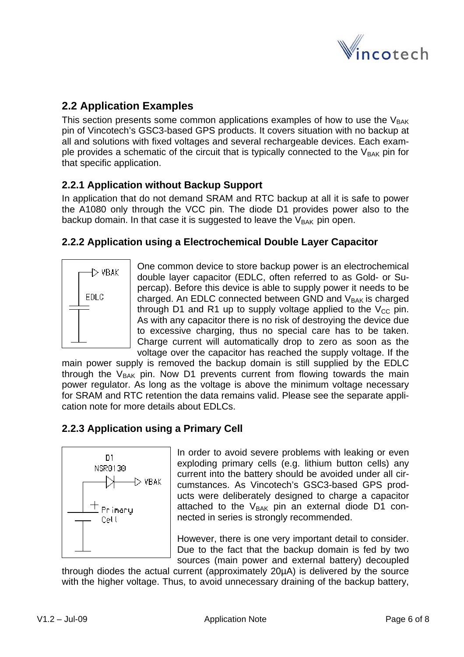

#### <span id="page-5-0"></span>**2.2 Application Examples**

This section presents some common applications examples of how to use the  $V_{BAK}$ pin of Vincotech's GSC3-based GPS products. It covers situation with no backup at all and solutions with fixed voltages and several rechargeable devices. Each example provides a schematic of the circuit that is typically connected to the  $V_{BAK}$  pin for that specific application.

#### **2.2.1 Application without Backup Support**

In application that do not demand SRAM and RTC backup at all it is safe to power the A1080 only through the VCC pin. The diode D1 provides power also to the backup domain. In that case it is suggested to leave the  $V_{\text{BAK}}$  pin open.

#### **2.2.2 Application using a Electrochemical Double Layer Capacitor**



One common device to store backup power is an electrochemical double layer capacitor (EDLC, often referred to as Gold- or Supercap). Before this device is able to supply power it needs to be charged. An EDLC connected between GND and  $V_{BAK}$  is charged through D1 and R1 up to supply voltage applied to the  $V_{CC}$  pin. As with any capacitor there is no risk of destroying the device due to excessive charging, thus no special care has to be taken. Charge current will automatically drop to zero as soon as the voltage over the capacitor has reached the supply voltage. If the

main power supply is removed the backup domain is still supplied by the EDLC through the  $V_{BAK}$  pin. Now D1 prevents current from flowing towards the main power regulator. As long as the voltage is above the minimum voltage necessary for SRAM and RTC retention the data remains valid. Please see the separate application note for more details about EDLCs.

#### **2.2.3 Application using a Primary Cell**



In order to avoid severe problems with leaking or even exploding primary cells (e.g. lithium button cells) any current into the battery should be avoided under all circumstances. As Vincotech's GSC3-based GPS products were deliberately designed to charge a capacitor attached to the  $V_{BAK}$  pin an external diode D1 connected in series is strongly recommended.

However, there is one very important detail to consider. Due to the fact that the backup domain is fed by two sources (main power and external battery) decoupled

through diodes the actual current (approximately 20µA) is delivered by the source with the higher voltage. Thus, to avoid unnecessary draining of the backup battery,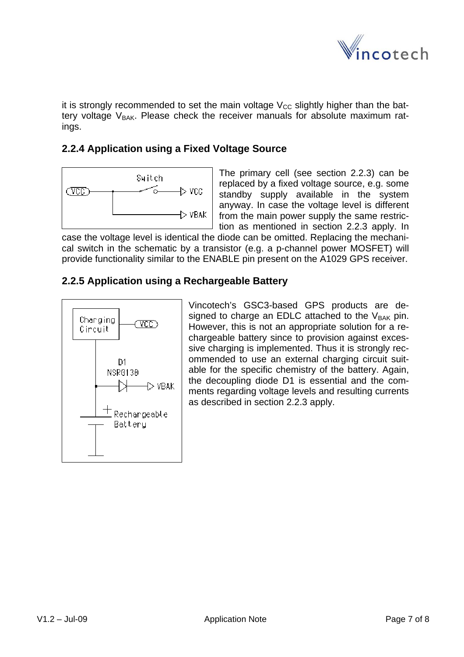

<span id="page-6-0"></span>it is strongly recommended to set the main voltage  $V_{CC}$  slightly higher than the battery voltage  $V_{BAK}$ . Please check the receiver manuals for absolute maximum ratings.

#### **2.2.4 Application using a Fixed Voltage Source**



The primary cell (see section 2.2.3) can be replaced by a fixed voltage source, e.g. some standby supply available in the system anyway. In case the voltage level is different from the main power supply the same restriction as mentioned in section 2.2.3 apply. In

case the voltage level is identical the diode can be omitted. Replacing the mechanical switch in the schematic by a transistor (e.g. a p-channel power MOSFET) will provide functionality similar to the ENABLE pin present on the A1029 GPS receiver.

#### **2.2.5 Application using a Rechargeable Battery**



Vincotech's GSC3-based GPS products are designed to charge an EDLC attached to the  $V_{BAK}$  pin. However, this is not an appropriate solution for a rechargeable battery since to provision against excessive charging is implemented. Thus it is strongly recommended to use an external charging circuit suitable for the specific chemistry of the battery. Again, the decoupling diode D1 is essential and the comments regarding voltage levels and resulting currents as described in section 2.2.3 apply.